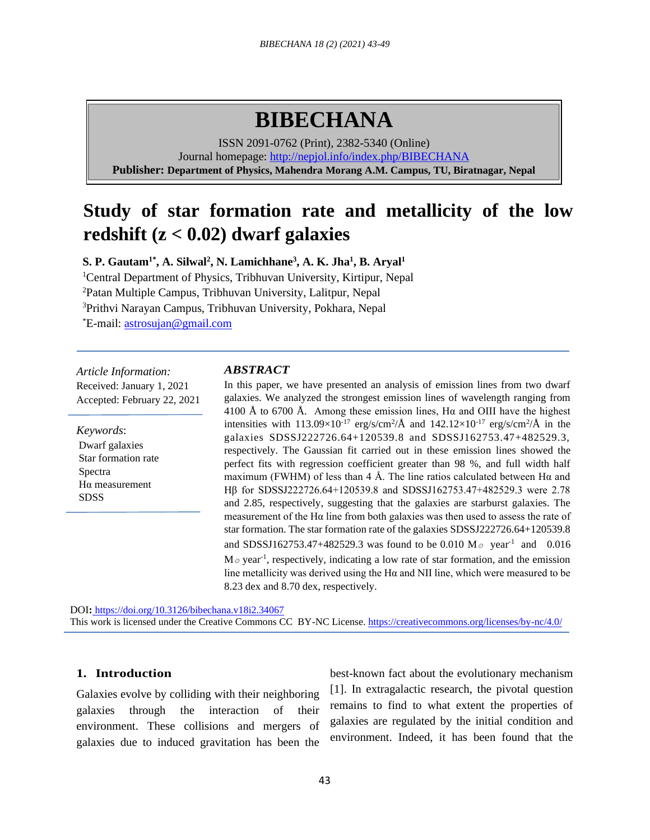# **BIBECHANA**

ISSN 2091-0762 (Print), 2382-5340 (Online) Journal homepage:<http://nepjol.info/index.php/BIBECHANA> **Publisher: Department of Physics, Mahendra Morang A.M. Campus, TU, Biratnagar, Nepal**

# **Study of star formation rate and metallicity of the low redshift (z < 0.02) dwarf galaxies**

**S. P. Gautam1\*, A. Silwal<sup>2</sup> , N. Lamichhane<sup>3</sup> , A. K. Jha<sup>1</sup> , B. Aryal<sup>1</sup>**

<sup>1</sup>Central Department of Physics, Tribhuvan University, Kirtipur, Nepal <sup>2</sup>Patan Multiple Campus, Tribhuvan University, Lalitpur, Nepal <sup>3</sup>Prithvi Narayan Campus, Tribhuvan University, Pokhara, Nepal

\*E-mail: [astrosujan@gmail.com](mailto:astrosujan@gmail.com)

*Article Information:* Received: January 1, 2021 Accepted: February 22, 2021

*Keywords*: Dwarf galaxies Star formation rate Spectra Hα measurement **SDSS** 

#### *ABSTRACT*

In this paper, we have presented an analysis of emission lines from two dwarf galaxies. We analyzed the strongest emission lines of wavelength ranging from 4100 Å to 6700 Å. Among these emission lines, H $\alpha$  and OIII have the highest intensities with 113.09×10<sup>-17</sup> erg/s/cm<sup>2</sup>/Å and 142.12×10<sup>-17</sup> erg/s/cm<sup>2</sup>/Å in the galaxies SDSSJ222726.64+120539.8 and SDSSJ162753.47+482529.3, respectively. The Gaussian fit carried out in these emission lines showed the perfect fits with regression coefficient greater than 98 %, and full width half maximum (FWHM) of less than 4 Å. The line ratios calculated between H $\alpha$  and Hβ for SDSSJ222726.64+120539.8 and SDSSJ162753.47+482529.3 were 2.78 and 2.85, respectively, suggesting that the galaxies are starburst galaxies. The measurement of the Hα line from both galaxies was then used to assess the rate of star formation. The star formation rate of the galaxies SDSSJ222726.64+120539.8 and SDSSJ162753.47+482529.3 was found to be 0.010 M<sub>o</sub> year<sup>-1</sup> and 0.016  $M<sub>o</sub>$  year<sup>-1</sup>, respectively, indicating a low rate of star formation, and the emission line metallicity was derived using the Hα and NII line, which were measured to be 8.23 dex and 8.70 dex, respectively.

DOI**:** <https://doi.org/10.3126/bibechana.v18i2.34067> This work is licensed under the Creative Commons CC BY-NC License.<https://creativecommons.org/licenses/by-nc/4.0/>

# **1. Introduction**

Galaxies evolve by colliding with their neighboring galaxies through the interaction of their environment. These collisions and mergers of galaxies due to induced gravitation has been the

best-known fact about the evolutionary mechanism [1]. In extragalactic research, the pivotal question remains to find to what extent the properties of galaxies are regulated by the initial condition and environment. Indeed, it has been found that the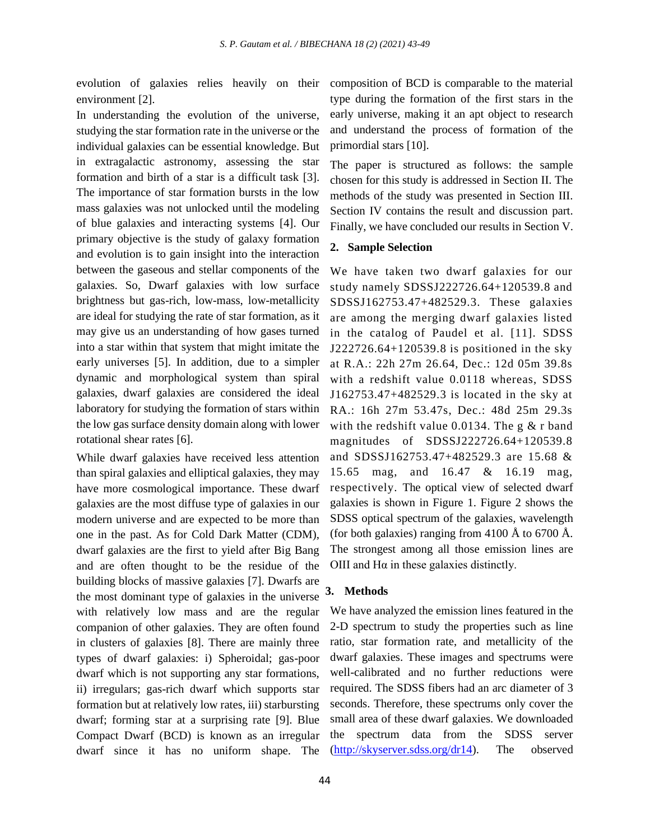evolution of galaxies relies heavily on their environment [2].

In understanding the evolution of the universe, studying the star formation rate in the universe or the individual galaxies can be essential knowledge. But in extragalactic astronomy, assessing the star formation and birth of a star is a difficult task [3]. The importance of star formation bursts in the low mass galaxies was not unlocked until the modeling of blue galaxies and interacting systems [4]. Our primary objective is the study of galaxy formation and evolution is to gain insight into the interaction between the gaseous and stellar components of the galaxies. So, Dwarf galaxies with low surface brightness but gas-rich, low-mass, low-metallicity are ideal for studying the rate of star formation, as it may give us an understanding of how gases turned into a star within that system that might imitate the early universes [5]. In addition, due to a simpler dynamic and morphological system than spiral galaxies, dwarf galaxies are considered the ideal laboratory for studying the formation of stars within the low gas surface density domain along with lower rotational shear rates [6].

While dwarf galaxies have received less attention than spiral galaxies and elliptical galaxies, they may have more cosmological importance. These dwarf galaxies are the most diffuse type of galaxies in our modern universe and are expected to be more than one in the past. As for Cold Dark Matter (CDM), dwarf galaxies are the first to yield after Big Bang and are often thought to be the residue of the building blocks of massive galaxies [7]. Dwarfs are the most dominant type of galaxies in the universe with relatively low mass and are the regular companion of other galaxies. They are often found in clusters of galaxies [8]. There are mainly three types of dwarf galaxies: i) Spheroidal; gas-poor dwarf which is not supporting any star formations, ii) irregulars; gas-rich dwarf which supports star formation but at relatively low rates, iii) starbursting dwarf; forming star at a surprising rate [9]. Blue Compact Dwarf (BCD) is known as an irregular dwarf since it has no uniform shape. The composition of BCD is comparable to the material type during the formation of the first stars in the early universe, making it an apt object to research and understand the process of formation of the primordial stars [10].

The paper is structured as follows: the sample chosen for this study is addressed in Section II. The methods of the study was presented in Section III. Section IV contains the result and discussion part. Finally, we have concluded our results in Section V.

### **2. Sample Selection**

We have taken two dwarf galaxies for our study namely SDSSJ222726.64+120539.8 and SDSSJ162753.47+482529.3. These galaxies are among the merging dwarf galaxies listed in the catalog of Paudel et al. [11]. SDSS J222726.64+120539.8 is positioned in the sky at R.A.: 22h 27m 26.64, Dec.: 12d 05m 39.8s with a redshift value 0.0118 whereas, SDSS J162753.47+482529.3 is located in the sky at RA.: 16h 27m 53.47s, Dec.: 48d 25m 29.3s with the redshift value 0.0134. The g  $&$  r band magnitudes of SDSSJ222726.64+120539.8 and SDSSJ162753.47+482529.3 are 15.68 & 15.65 mag, and 16.47 & 16.19 mag, respectively. The optical view of selected dwarf galaxies is shown in Figure 1. Figure 2 shows the SDSS optical spectrum of the galaxies, wavelength (for both galaxies) ranging from 4100  $\AA$  to 6700  $\AA$ . The strongest among all those emission lines are OIII and  $H\alpha$  in these galaxies distinctly.

#### **3. Methods**

We have analyzed the emission lines featured in the 2-D spectrum to study the properties such as line ratio, star formation rate, and metallicity of the dwarf galaxies. These images and spectrums were well-calibrated and no further reductions were required. The SDSS fibers had an arc diameter of 3 seconds. Therefore, these spectrums only cover the small area of these dwarf galaxies. We downloaded the spectrum data from the SDSS server [\(http://skyserver.sdss.org/dr14\)](http://skyserver.sdss.org/dr14). The observed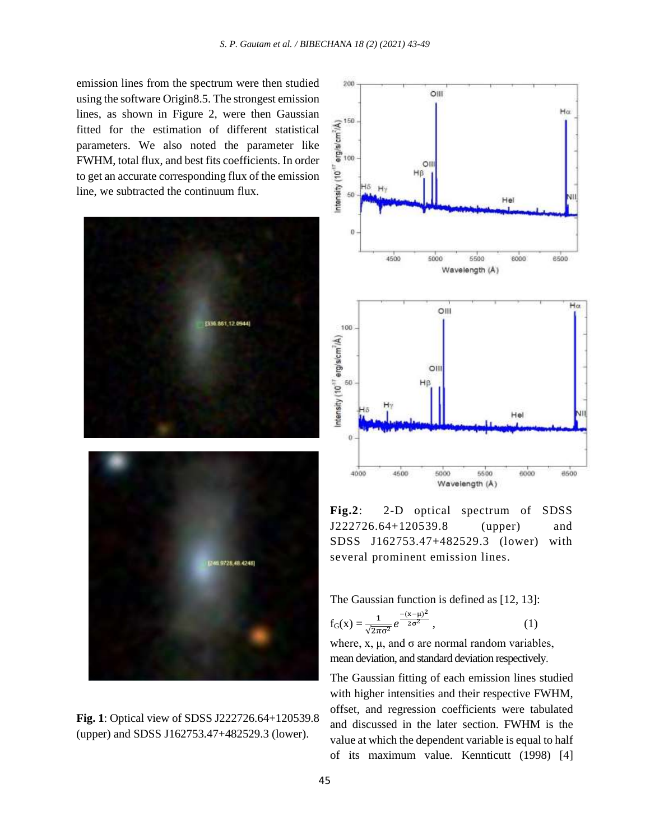emission lines from the spectrum were then studied using the software Origin8.5. The strongest emission lines, as shown in Figure 2, were then Gaussian fitted for the estimation of different statistical parameters. We also noted the parameter like FWHM, total flux, and best fits coefficients. In order to get an accurate corresponding flux of the emission line, we subtracted the continuum flux.





**Fig. 1**: Optical view of SDSS J222726.64+120539.8 (upper) and SDSS J162753.47+482529.3 (lower).



**Fig.2**: 2-D optical spectrum of SDSS J222726.64+120539.8 (upper) and SDSS J162753.47+482529.3 (lower) with several prominent emission lines.

The Gaussian function is defined as [12, 13]:

$$
f_G(x) = \frac{1}{\sqrt{2\pi\sigma^2}} e^{\frac{-(x-\mu)^2}{2\sigma^2}},
$$
 (1)

where, x,  $\mu$ , and  $\sigma$  are normal random variables, mean deviation, and standard deviation respectively.

The Gaussian fitting of each emission lines studied with higher intensities and their respective FWHM, offset, and regression coefficients were tabulated and discussed in the later section. FWHM is the value at which the dependent variable is equal to half of its maximum value. Kennticutt (1998) [4]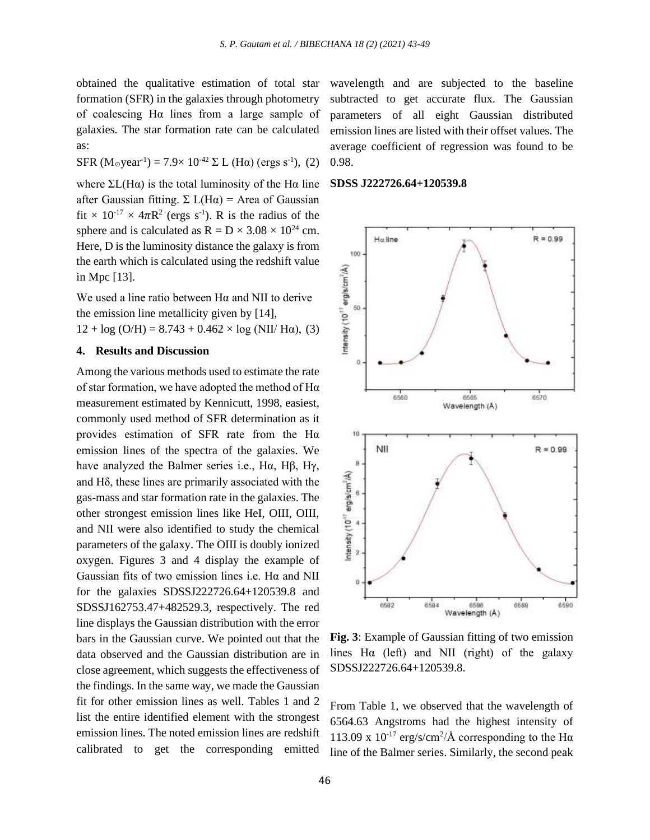obtained the qualitative estimation of total star formation (SFR) in the galaxies through photometry of coalescing Hα lines from a large sample of galaxies. The star formation rate can be calculated as:

SFR (M<sub>o</sub>year<sup>-1</sup>) = 
$$
7.9 \times 10^{-42}
$$
  $\Sigma$  L (H $\alpha$ ) (ergs s<sup>-1</sup>), (2)

where  $\Sigma L(H\alpha)$  is the total luminosity of the H $\alpha$  line after Gaussian fitting.  $\Sigma L(H\alpha) =$  Area of Gaussian fit  $\times$  10<sup>-17</sup>  $\times$  4 $\pi$ R<sup>2</sup> (ergs s<sup>-1</sup>). R is the radius of the sphere and is calculated as  $R = D \times 3.08 \times 10^{24}$  cm. Here, D is the luminosity distance the galaxy is from the earth which is calculated using the redshift value in Mpc [13].

We used a line ratio between Hα and NII to derive the emission line metallicity given by [14],  $12 + \log (O/H) = 8.743 + 0.462 \times \log (NII/H\alpha)$ , (3)

## **4. Results and Discussion**

Among the various methods used to estimate the rate of star formation, we have adopted the method of Hα measurement estimated by Kennicutt, 1998, easiest, commonly used method of SFR determination as it provides estimation of SFR rate from the Hα emission lines of the spectra of the galaxies. We have analyzed the Balmer series i.e., Hα, Hβ, Hγ, and Hδ, these lines are primarily associated with the gas-mass and star formation rate in the galaxies. The other strongest emission lines like HeI, OIII, OIII, and NII were also identified to study the chemical parameters of the galaxy. The OIII is doubly ionized oxygen. Figures 3 and 4 display the example of Gaussian fits of two emission lines i.e. Hα and NII for the galaxies SDSSJ222726.64+120539.8 and SDSSJ162753.47+482529.3, respectively. The red line displays the Gaussian distribution with the error bars in the Gaussian curve. We pointed out that the data observed and the Gaussian distribution are in close agreement, which suggests the effectiveness of the findings. In the same way, we made the Gaussian fit for other emission lines as well. Tables 1 and 2 list the entire identified element with the strongest emission lines. The noted emission lines are redshift calibrated to get the corresponding emitted

wavelength and are subjected to the baseline subtracted to get accurate flux. The Gaussian parameters of all eight Gaussian distributed emission lines are listed with their offset values. The average coefficient of regression was found to be 0.98.

#### **SDSS J222726.64+120539.8**



**Fig. 3**: Example of Gaussian fitting of two emission lines Hα (left) and NII (right) of the galaxy SDSSJ222726.64+120539.8.

From Table 1, we observed that the wavelength of 6564.63 Angstroms had the highest intensity of 113.09 x  $10^{-17}$  erg/s/cm<sup>2</sup>/Å corresponding to the H $\alpha$ line of the Balmer series. Similarly, the second peak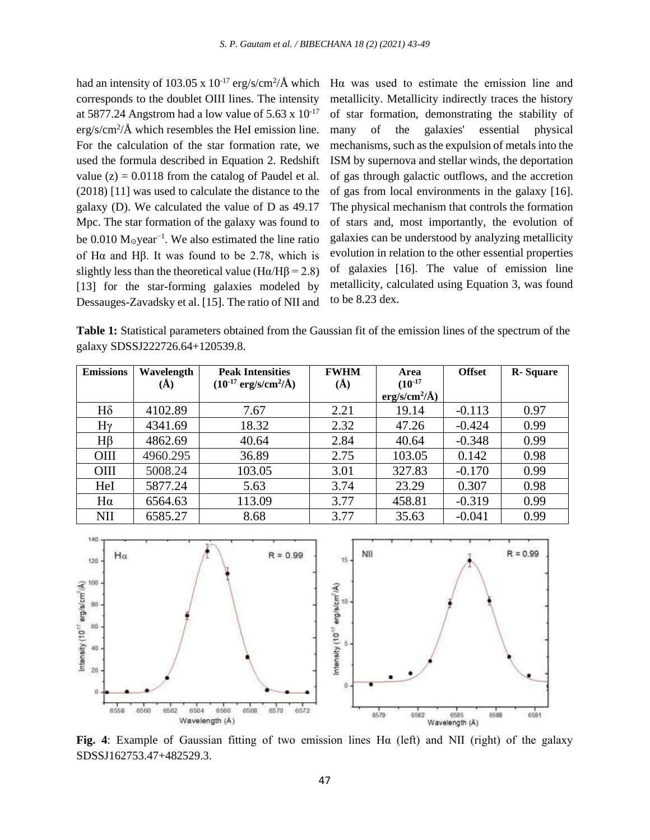had an intensity of 103.05 x  $10^{-17}$  erg/s/cm<sup>2</sup>/Å which corresponds to the doublet OIII lines. The intensity at 5877.24 Angstrom had a low value of 5.63 x  $10^{-17}$  $\text{erg/s/cm}^2/\text{\AA}$  which resembles the HeI emission line. For the calculation of the star formation rate, we used the formula described in Equation 2. Redshift value  $(z) = 0.0118$  from the catalog of Paudel et al. (2018) [11] was used to calculate the distance to the galaxy (D). We calculated the value of D as 49.17 Mpc. The star formation of the galaxy was found to be 0.010  $M<sub>o</sub>year<sup>-1</sup>$ . We also estimated the line ratio of Hα and Hβ. It was found to be 2.78, which is slightly less than the theoretical value ( $H\alpha/H\beta = 2.8$ ) [13] for the star-forming galaxies modeled by Dessauges-Zavadsky et al. [15]. The ratio of NII and

Hα was used to estimate the emission line and metallicity. Metallicity indirectly traces the history of star formation, demonstrating the stability of many of the galaxies' essential physical mechanisms, such as the expulsion of metals into the ISM by supernova and stellar winds, the deportation of gas through galactic outflows, and the accretion of gas from local environments in the galaxy [16]. The physical mechanism that controls the formation of stars and, most importantly, the evolution of galaxies can be understood by analyzing metallicity evolution in relation to the other essential properties of galaxies [16]. The value of emission line metallicity, calculated using Equation 3, was found to be 8.23 dex.

**Table 1:** Statistical parameters obtained from the Gaussian fit of the emission lines of the spectrum of the galaxy SDSSJ222726.64+120539.8.

| <b>Emissions</b> | Wavelength<br>(Å) | <b>Peak Intensities</b><br>$(10^{-17} \text{ erg/s/cm}^2/\text{\AA})$ | <b>FWHM</b><br>$\check{\mathbf{(A)}}$ | Area<br>$(10^{-17}$       | <b>Offset</b> | <b>R</b> -Square |
|------------------|-------------------|-----------------------------------------------------------------------|---------------------------------------|---------------------------|---------------|------------------|
|                  |                   |                                                                       |                                       | erg/s/cm <sup>2</sup> /Å) |               |                  |
| $H\delta$        | 4102.89           | 7.67                                                                  | 2.21                                  | 19.14                     | $-0.113$      | 0.97             |
| Hv               | 4341.69           | 18.32                                                                 | 2.32                                  | 47.26                     | $-0.424$      | 0.99             |
| $H\beta$         | 4862.69           | 40.64                                                                 | 2.84                                  | 40.64                     | $-0.348$      | 0.99             |
| <b>OIII</b>      | 4960.295          | 36.89                                                                 | 2.75                                  | 103.05                    | 0.142         | 0.98             |
| <b>OIII</b>      | 5008.24           | 103.05                                                                | 3.01                                  | 327.83                    | $-0.170$      | 0.99             |
| Hel              | 5877.24           | 5.63                                                                  | 3.74                                  | 23.29                     | 0.307         | 0.98             |
| $H\alpha$        | 6564.63           | 113.09                                                                | 3.77                                  | 458.81                    | $-0.319$      | 0.99             |
| <b>NII</b>       | 6585.27           | 8.68                                                                  | 3.77                                  | 35.63                     | $-0.041$      | 0.99             |



**Fig. 4**: Example of Gaussian fitting of two emission lines Hα (left) and NII (right) of the galaxy SDSSJ162753.47+482529.3.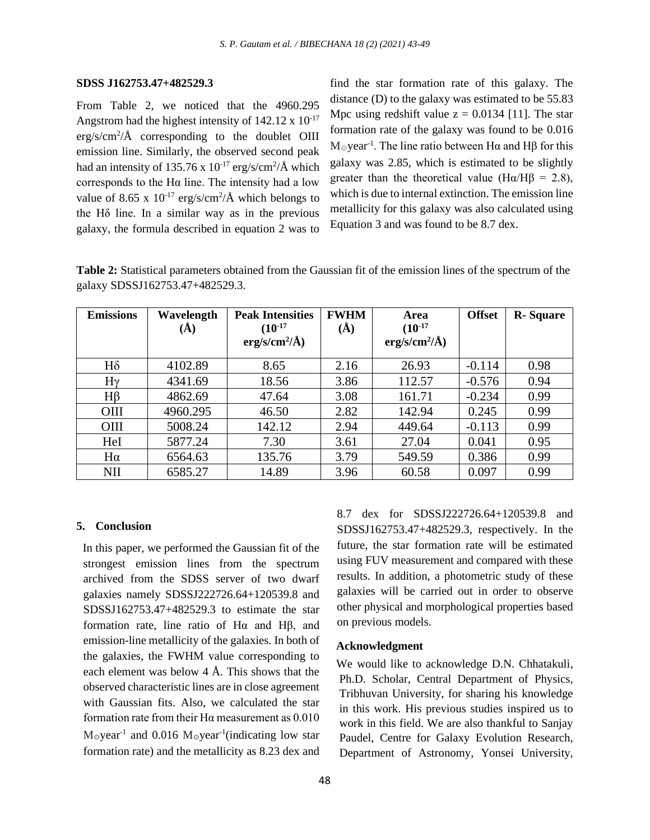#### **SDSS J162753.47+482529.3**

From Table 2, we noticed that the 4960.295 Angstrom had the highest intensity of  $142.12 \times 10^{-17}$  $\text{erg/s/cm}^2/\text{\AA}$  corresponding to the doublet OIII emission line. Similarly, the observed second peak had an intensity of 135.76 x  $10^{-17}$  erg/s/cm<sup>2</sup>/Å which corresponds to the H $\alpha$  line. The intensity had a low value of 8.65 x  $10^{-17}$  erg/s/cm<sup>2</sup>/Å which belongs to the Hδ line. In a similar way as in the previous galaxy, the formula described in equation 2 was to

find the star formation rate of this galaxy. The distance (D) to the galaxy was estimated to be 55.83 Mpc using redshift value  $z = 0.0134$  [11]. The star formation rate of the galaxy was found to be 0.016  $M<sub>o</sub>$  year<sup>-1</sup>. The line ratio between Hα and Hβ for this galaxy was 2.85, which is estimated to be slightly greater than the theoretical value ( $H\alpha/H\beta = 2.8$ ), which is due to internal extinction. The emission line metallicity for this galaxy was also calculated using Equation 3 and was found to be 8.7 dex.

| galaxy SDSSJ162753.47+482529.3. |  |                                      |  |      |  |                                   |  |  |
|---------------------------------|--|--------------------------------------|--|------|--|-----------------------------------|--|--|
| Emissions                       |  | Wavelength   Peak Intensities   FWHM |  | Area |  | <b>Offset</b>   <b>R</b> - Square |  |  |

**Table 2:** Statistical parameters obtained from the Gaussian fit of the emission lines of the spectrum of the

| <b>Emissions</b> | wavelength<br>$(\dot{A})$ | <b>Peak Intensities</b><br>$(10^{-17}$<br>erg/s/cm <sup>2</sup> /Å) | F WHIM<br>$(\dot{A})$ | Area<br>$(10^{-17}$<br>$erg/s/cm2/\AA)$ | <b>UIISET</b> | K-Square |
|------------------|---------------------------|---------------------------------------------------------------------|-----------------------|-----------------------------------------|---------------|----------|
| $H\delta$        | 4102.89                   | 8.65                                                                | 2.16                  | 26.93                                   | $-0.114$      | 0.98     |
| $H\gamma$        | 4341.69                   | 18.56                                                               | 3.86                  | 112.57                                  | $-0.576$      | 0.94     |
| $H\beta$         | 4862.69                   | 47.64                                                               | 3.08                  | 161.71                                  | $-0.234$      | 0.99     |
| <b>OIII</b>      | 4960.295                  | 46.50                                                               | 2.82                  | 142.94                                  | 0.245         | 0.99     |
| <b>OIII</b>      | 5008.24                   | 142.12                                                              | 2.94                  | 449.64                                  | $-0.113$      | 0.99     |
| HeI              | 5877.24                   | 7.30                                                                | 3.61                  | 27.04                                   | 0.041         | 0.95     |
| $H\alpha$        | 6564.63                   | 135.76                                                              | 3.79                  | 549.59                                  | 0.386         | 0.99     |
| <b>NII</b>       | 6585.27                   | 14.89                                                               | 3.96                  | 60.58                                   | 0.097         | 0.99     |

#### **5. Conclusion**

In this paper, we performed the Gaussian fit of the strongest emission lines from the spectrum archived from the SDSS server of two dwarf galaxies namely SDSSJ222726.64+120539.8 and SDSSJ162753.47+482529.3 to estimate the star formation rate, line ratio of Hα and Hβ, and emission-line metallicity of the galaxies. In both of the galaxies, the FWHM value corresponding to each element was below 4 Å. This shows that the observed characteristic lines are in close agreement with Gaussian fits. Also, we calculated the star formation rate from their Hα measurement as 0.010  $M<sub>o</sub> year<sup>-1</sup>$  and 0.016  $M<sub>o</sub> year<sup>-1</sup>$  (indicating low star formation rate) and the metallicity as 8.23 dex and

8.7 dex for SDSSJ222726.64+120539.8 and SDSSJ162753.47+482529.3, respectively. In the future, the star formation rate will be estimated using FUV measurement and compared with these results. In addition, a photometric study of these galaxies will be carried out in order to observe other physical and morphological properties based on previous models.

#### **Acknowledgment**

We would like to acknowledge D.N. Chhatakuli, Ph.D. Scholar, Central Department of Physics, Tribhuvan University, for sharing his knowledge in this work. His previous studies inspired us to work in this field. We are also thankful to Sanjay Paudel, Centre for Galaxy Evolution Research, Department of Astronomy, Yonsei University,